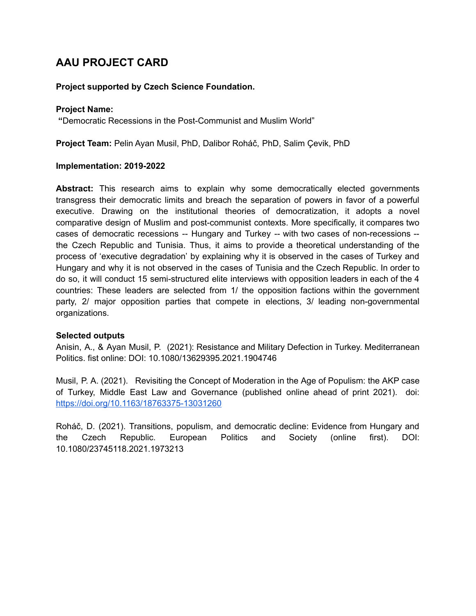## **AAU PROJECT CARD**

## **Project supported by Czech Science Foundation.**

## **Project Name:**

**"**Democratic Recessions in the Post-Communist and Muslim World"

**Project Team:** Pelin Ayan Musil, PhD, Dalibor Roháč, PhD, Salim Çevik, PhD

## **Implementation: 2019-2022**

**Abstract:** This research aims to explain why some democratically elected governments transgress their democratic limits and breach the separation of powers in favor of a powerful executive. Drawing on the institutional theories of democratization, it adopts a novel comparative design of Muslim and post-communist contexts. More specifically, it compares two cases of democratic recessions -- Hungary and Turkey -- with two cases of non-recessions - the Czech Republic and Tunisia. Thus, it aims to provide a theoretical understanding of the process of 'executive degradation' by explaining why it is observed in the cases of Turkey and Hungary and why it is not observed in the cases of Tunisia and the Czech Republic. In order to do so, it will conduct 15 semi-structured elite interviews with opposition leaders in each of the 4 countries: These leaders are selected from 1/ the opposition factions within the government party, 2/ major opposition parties that compete in elections, 3/ leading non-governmental organizations.

## **Selected outputs**

Anisin, A., & Ayan Musil, P. (2021): Resistance and Military Defection in Turkey. Mediterranean Politics. fist online: DOI: 10.1080/13629395.2021.1904746

Musil, P. A. (2021). Revisiting the Concept of Moderation in the Age of Populism: the AKP case of Turkey, Middle East Law and Governance (published online ahead of print 2021). doi: <https://doi.org/10.1163/18763375-13031260>

Roháč, D. (2021). Transitions, populism, and democratic decline: Evidence from Hungary and the Czech Republic. European Politics and Society (online first). DOI: 10.1080/23745118.2021.1973213